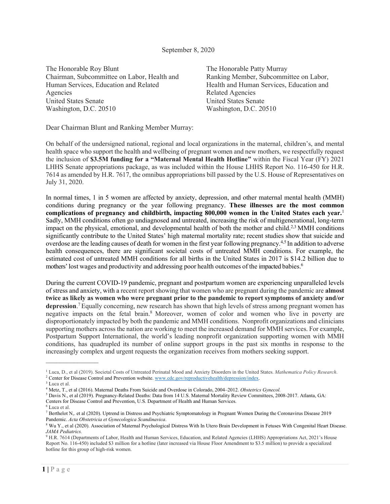## September 8, 2020

The Honorable Roy Blunt Chairman, Subcommittee on Labor, Health and Human Services, Education and Related Agencies United States Senate Washington, D.C. 20510

The Honorable Patty Murray Ranking Member, Subcommittee on Labor, Health and Human Services, Education and Related Agencies United States Senate Washington, D.C. 20510

Dear Chairman Blunt and Ranking Member Murray:

On behalf of the undersigned national, regional and local organizations in the maternal, children's, and mental health space who support the health and wellbeing of pregnant women and new mothers, we respectfully request the inclusion of **\$3.5M funding for a "Maternal Mental Health Hotline"** within the Fiscal Year (FY) 2021 LHHS Senate appropriations package, as was included within the House LHHS Report No. 116-450 for H.R. 7614 as amended by H.R. 7617, the omnibus appropriations bill passed by the U.S. House of Representatives on July 31, 2020.

In normal times, 1 in 5 women are affected by anxiety, depression, and other maternal mental health (MMH) conditions during pregnancy or the year following pregnancy. **These illnesses are the most common complications of pregnancy and childbirth, impacting 800,000 women in the United States each year.**[1](#page-0-0) Sadly, MMH conditions often go undiagnosed and untreated, increasing the risk of multigenerational, long-term impact on the physical, emotional, and developmental health of both the mother and child[.2,](#page-0-1)[3](#page-0-2) MMH conditions significantly contribute to the United States' high maternal mortality rate; recent studies show that suicide and overdose are the leading causes of death for women in the first year following pregnanc[y.4,](#page-0-3)[5](#page-0-4) In addition to adverse health consequences, there are significant societal costs of untreated MMH conditions. For example, the estimated cost of untreated MMH conditions for all births in the United States in 2017 is \$14.2 billion due to mothers' lost wages and productivity and addressing poor health outcomes of the impacted babies.<sup>6</sup>

During the current COVID-19 pandemic, pregnant and postpartum women are experiencing unparalleled levels of stress and anxiety, with a recent report showing that women who are pregnant during the pandemic are **almost twice as likely as women who were pregnant prior to the pandemic to report symptoms of anxiety and/or depression**. [7E](#page-0-6)qually concerning, new research has shown that high levels of stress among pregnant women has negative impacts on the fetal brai[n.8](#page-0-7) Moreover, women of color and women who live in poverty are disproportionately impacted by both the pandemic and MMH conditions. Nonprofit organizations and clinicians supporting mothers across the nation are working to meet the increased demand for MMH services. For example, Postpartum Support International, the world's leading nonprofit organization supporting women with MMH conditions, has quadrupled its number of online support groups in the past six months in response to the increasingly complex and urgent requests the organization receives from mothers seeking support.

 $\frac{1}{2}$ 

<span id="page-0-1"></span><span id="page-0-0"></span><sup>1</sup> Luca, D., et al (2019). Societal Costs of Untreated Perinatal Mood and Anxiety Disorders in the United States. *Mathematica Policy Research*. <sup>2</sup> Center for Disease Control and Prevention website[. www.cdc.gov/reproductivehealth/depression/index.](http://www.cdc.gov/reproductivehealth/depression/index)

<span id="page-0-2"></span><sup>3</sup> Luca et al.

<span id="page-0-4"></span><span id="page-0-3"></span><sup>4</sup> Metz, T., et al (2016). Maternal Deaths From Suicide and Overdose in Colorado, 2004–2012. *Obstetrics Gynecol.*

<sup>5</sup> Davis N., et al (2019). Pregnancy-Related Deaths: Data from 14 U.S. Maternal Mortality Review Committees, 2008-2017. Atlanta, GA: Centers for Disease Control and Prevention, U.S. Department of Health and Human Services.

<span id="page-0-5"></span><sup>6</sup> Luca et al.

<span id="page-0-6"></span><sup>7</sup> [Berthelot N,. et al \(2020\). Uptrend in Distress and Psychiatric Symptomatology in Pregnant Women](https://doi.org/10.1111/aogs.13925) During the Coronavirus Disease 2019 Pandemic. *[Acta Obstetricia et Gynecologica Scandinavica](https://doi.org/10.1111/aogs.13925)*.

<span id="page-0-7"></span><sup>8</sup> Wu Y., et al (2020). Association of Maternal Psychological Distress With In Utero Brain Development in Fetuses With Congenital Heart Disease. *JAMA Pediatrics.*

<sup>9</sup> H.R. 7614 (Departments of Labor, Health and Human Services, Education, and Related Agencies (LHHS) Appropriations Act, 2021's House Report No. 116-450) included \$3 million for a hotline (later increased via House Floor Amendment to \$3.5 million) to provide a specialized hotline for this group of high-risk women.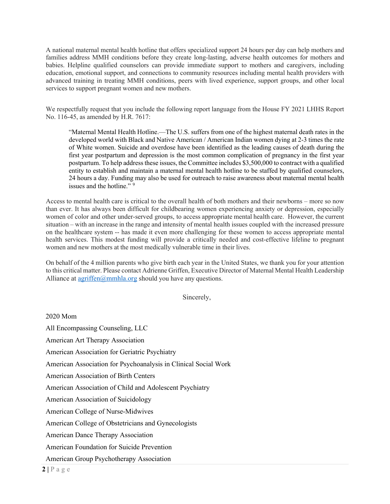A national maternal mental health hotline that offers specialized support 24 hours per day can help mothers and families address MMH conditions before they create long-lasting, adverse health outcomes for mothers and babies. Helpline qualified counselors can provide immediate support to mothers and caregivers, including education, emotional support, and connections to community resources including mental health providers with advanced training in treating MMH conditions, peers with lived experience, support groups, and other local services to support pregnant women and new mothers.

We respectfully request that you include the following report language from the House FY 2021 LHHS Report No. 116-45, as amended by H.R. 7617:

"Maternal Mental Health Hotline.—The U.S. suffers from one of the highest maternal death rates in the developed world with Black and Native American / American Indian women dying at 2-3 times the rate of White women. Suicide and overdose have been identified as the leading causes of death during the first year postpartum and depression is the most common complication of pregnancy in the first year postpartum. To help address these issues, the Committee includes \$3,500,000 to contract with a qualified entity to establish and maintain a maternal mental health hotline to be staffed by qualified counselors, 24 hours a day. Funding may also be used for outreach to raise awareness about maternal mental health issues and the hotline."<sup>9</sup>

Access to mental health care is critical to the overall health of both mothers and their newborns – more so now than ever. It has always been difficult for childbearing women experiencing anxiety or depression, especially women of color and other under-served groups, to access appropriate mental health care. However, the current situation – with an increase in the range and intensity of mental health issues coupled with the increased pressure on the healthcare system -- has made it even more challenging for these women to access appropriate mental health services. This modest funding will provide a critically needed and cost-effective lifeline to pregnant women and new mothers at the most medically vulnerable time in their lives.

On behalf of the 4 million parents who give birth each year in the United States, we thank you for your attention to this critical matter. Please contact Adrienne Griffen, Executive Director of Maternal Mental Health Leadership Alliance at  $\operatorname{agriffen}(\hat{a})$ mmhla.org should you have any questions.

Sincerely,

2020 Mom

All Encompassing Counseling, LLC

American Art Therapy Association

American Association for Geriatric Psychiatry

American Association for Psychoanalysis in Clinical Social Work

American Association of Birth Centers

American Association of Child and Adolescent Psychiatry

American Association of Suicidology

American College of Nurse-Midwives

American College of Obstetricians and Gynecologists

American Dance Therapy Association

American Foundation for Suicide Prevention

American Group Psychotherapy Association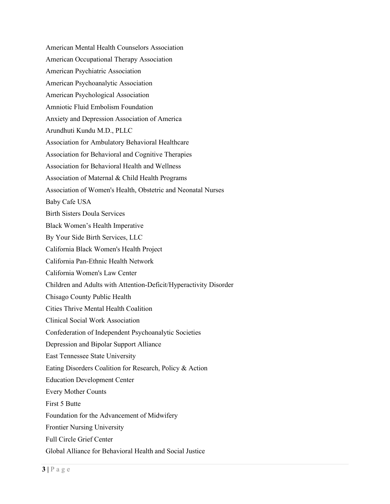American Mental Health Counselors Association American Occupational Therapy Association American Psychiatric Association American Psychoanalytic Association American Psychological Association Amniotic Fluid Embolism Foundation Anxiety and Depression Association of America Arundhuti Kundu M.D., PLLC Association for Ambulatory Behavioral Healthcare Association for Behavioral and Cognitive Therapies Association for Behavioral Health and Wellness Association of Maternal & Child Health Programs Association of Women's Health, Obstetric and Neonatal Nurses Baby Cafe USA Birth Sisters Doula Services Black Women's Health Imperative By Your Side Birth Services, LLC California Black Women's Health Project California Pan-Ethnic Health Network California Women's Law Center Children and Adults with Attention-Deficit/Hyperactivity Disorder Chisago County Public Health Cities Thrive Mental Health Coalition Clinical Social Work Association Confederation of Independent Psychoanalytic Societies Depression and Bipolar Support Alliance East Tennessee State University Eating Disorders Coalition for Research, Policy & Action Education Development Center Every Mother Counts First 5 Butte Foundation for the Advancement of Midwifery Frontier Nursing University Full Circle Grief Center Global Alliance for Behavioral Health and Social Justice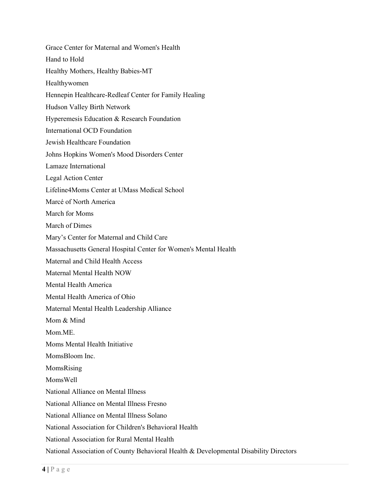Grace Center for Maternal and Women's Health Hand to Hold Healthy Mothers, Healthy Babies-MT Healthywomen Hennepin Healthcare-Redleaf Center for Family Healing Hudson Valley Birth Network Hyperemesis Education & Research Foundation International OCD Foundation Jewish Healthcare Foundation Johns Hopkins Women's Mood Disorders Center Lamaze International Legal Action Center Lifeline4Moms Center at UMass Medical School Marcé of North America March for Moms March of Dimes Mary's Center for Maternal and Child Care Massachusetts General Hospital Center for Women's Mental Health Maternal and Child Health Access Maternal Mental Health NOW Mental Health America Mental Health America of Ohio Maternal Mental Health Leadership Alliance Mom & Mind Mom.ME. Moms Mental Health Initiative MomsBloom Inc. MomsRising MomsWell National Alliance on Mental Illness National Alliance on Mental Illness Fresno National Alliance on Mental Illness Solano National Association for Children's Behavioral Health National Association for Rural Mental Health National Association of County Behavioral Health & Developmental Disability Directors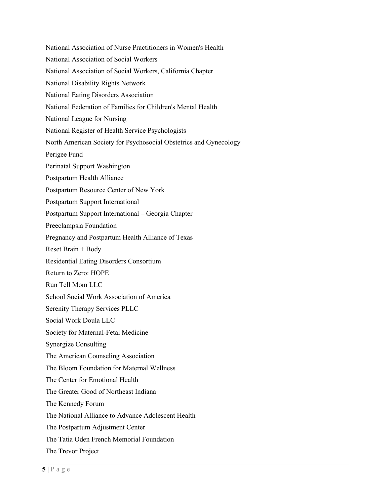National Association of Nurse Practitioners in Women's Health National Association of Social Workers National Association of Social Workers, California Chapter National Disability Rights Network National Eating Disorders Association National Federation of Families for Children's Mental Health National League for Nursing National Register of Health Service Psychologists North American Society for Psychosocial Obstetrics and Gynecology Perigee Fund Perinatal Support Washington Postpartum Health Alliance Postpartum Resource Center of New York Postpartum Support International Postpartum Support International – Georgia Chapter Preeclampsia Foundation Pregnancy and Postpartum Health Alliance of Texas Reset Brain + Body Residential Eating Disorders Consortium Return to Zero: HOPE Run Tell Mom LLC School Social Work Association of America Serenity Therapy Services PLLC Social Work Doula LLC Society for Maternal-Fetal Medicine Synergize Consulting The American Counseling Association The Bloom Foundation for Maternal Wellness The Center for Emotional Health The Greater Good of Northeast Indiana The Kennedy Forum The National Alliance to Advance Adolescent Health The Postpartum Adjustment Center The Tatia Oden French Memorial Foundation The Trevor Project